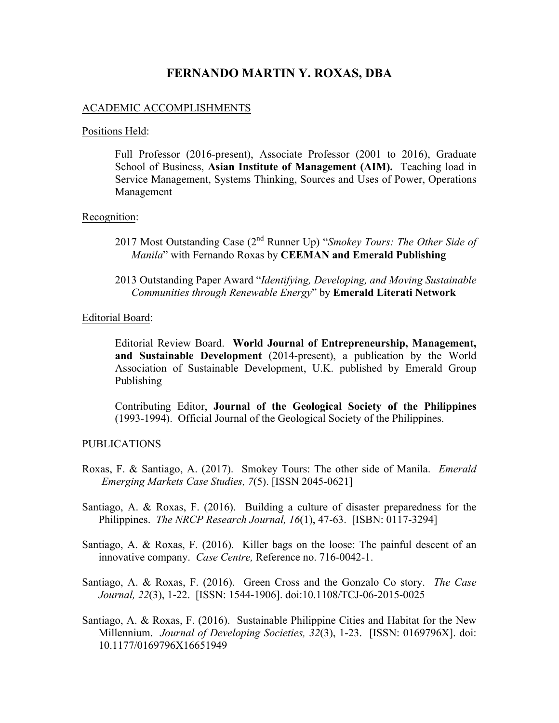# **FERNANDO MARTIN Y. ROXAS, DBA**

### ACADEMIC ACCOMPLISHMENTS

#### Positions Held:

Full Professor (2016-present), Associate Professor (2001 to 2016), Graduate School of Business, **Asian Institute of Management (AIM).** Teaching load in Service Management, Systems Thinking, Sources and Uses of Power, Operations Management

#### Recognition:

- 2017 Most Outstanding Case (2nd Runner Up) "*Smokey Tours: The Other Side of Manila*" with Fernando Roxas by **CEEMAN and Emerald Publishing**
- 2013 Outstanding Paper Award "*Identifying, Developing, and Moving Sustainable Communities through Renewable Energy*" by **Emerald Literati Network**

#### Editorial Board:

Editorial Review Board. **World Journal of Entrepreneurship, Management, and Sustainable Development** (2014-present), a publication by the World Association of Sustainable Development, U.K. published by Emerald Group Publishing

Contributing Editor, **Journal of the Geological Society of the Philippines** (1993-1994). Official Journal of the Geological Society of the Philippines.

#### PUBLICATIONS

- Roxas, F. & Santiago, A. (2017). Smokey Tours: The other side of Manila. *Emerald Emerging Markets Case Studies, 7*(5). [ISSN 2045-0621]
- Santiago, A. & Roxas, F. (2016). Building a culture of disaster preparedness for the Philippines. *The NRCP Research Journal, 16*(1), 47-63. [ISBN: 0117-3294]
- Santiago, A. & Roxas, F. (2016). Killer bags on the loose: The painful descent of an innovative company. *Case Centre,* Reference no. 716-0042-1.
- Santiago, A. & Roxas, F. (2016). Green Cross and the Gonzalo Co story. *The Case Journal, 22*(3), 1-22. [ISSN: 1544-1906]. doi:10.1108/TCJ-06-2015-0025
- Santiago, A. & Roxas, F. (2016). Sustainable Philippine Cities and Habitat for the New Millennium. *Journal of Developing Societies, 32*(3), 1-23. [ISSN: 0169796X]. doi: 10.1177/0169796X16651949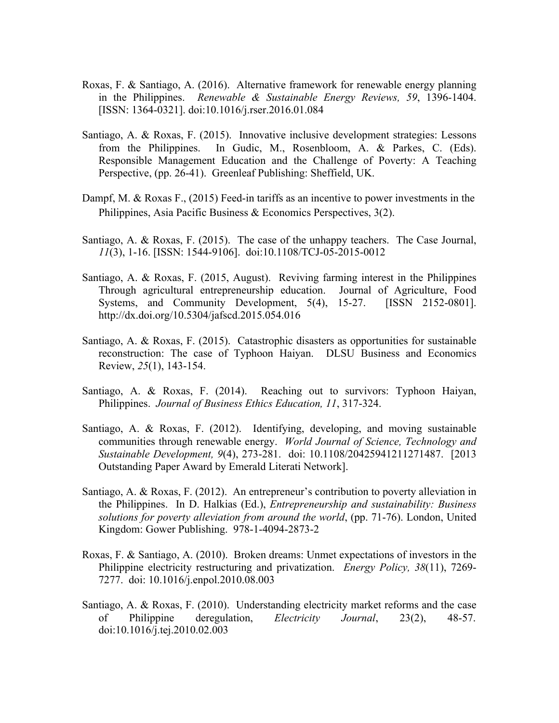- Roxas, F. & Santiago, A. (2016). Alternative framework for renewable energy planning in the Philippines. *Renewable & Sustainable Energy Reviews, 59*, 1396-1404. [ISSN: 1364-0321]. doi:10.1016/j.rser.2016.01.084
- Santiago, A. & Roxas, F. (2015). Innovative inclusive development strategies: Lessons from the Philippines. In Gudic, M., Rosenbloom, A. & Parkes, C. (Eds). Responsible Management Education and the Challenge of Poverty: A Teaching Perspective, (pp. 26-41). Greenleaf Publishing: Sheffield, UK.
- Dampf, M. & Roxas F., (2015) Feed-in tariffs as an incentive to power investments in the Philippines, Asia Pacific Business & Economics Perspectives, 3(2).
- Santiago, A. & Roxas, F. (2015). The case of the unhappy teachers. The Case Journal, *11*(3), 1-16. [ISSN: 1544-9106]. doi:10.1108/TCJ-05-2015-0012
- Santiago, A. & Roxas, F. (2015, August). Reviving farming interest in the Philippines Through agricultural entrepreneurship education. Journal of Agriculture, Food Systems, and Community Development, 5(4), 15-27. [ISSN 2152-0801]. http://dx.doi.org/10.5304/jafscd.2015.054.016
- Santiago, A. & Roxas, F. (2015). Catastrophic disasters as opportunities for sustainable reconstruction: The case of Typhoon Haiyan. DLSU Business and Economics Review, *25*(1), 143-154.
- Santiago, A. & Roxas, F. (2014). Reaching out to survivors: Typhoon Haiyan, Philippines. *Journal of Business Ethics Education, 11*, 317-324.
- Santiago, A. & Roxas, F. (2012). Identifying, developing, and moving sustainable communities through renewable energy. *World Journal of Science, Technology and Sustainable Development, 9*(4), 273-281. doi: 10.1108/20425941211271487. [2013 Outstanding Paper Award by Emerald Literati Network].
- Santiago, A. & Roxas, F. (2012). An entrepreneur's contribution to poverty alleviation in the Philippines. In D. Halkias (Ed.), *Entrepreneurship and sustainability: Business solutions for poverty alleviation from around the world*, (pp. 71-76). London, United Kingdom: Gower Publishing. 978-1-4094-2873-2
- Roxas, F. & Santiago, A. (2010). Broken dreams: Unmet expectations of investors in the Philippine electricity restructuring and privatization. *Energy Policy, 38*(11), 7269- 7277. doi: 10.1016/j.enpol.2010.08.003
- Santiago, A. & Roxas, F. (2010). Understanding electricity market reforms and the case of Philippine deregulation, *Electricity Journal*, 23(2), 48-57. doi:10.1016/j.tej.2010.02.003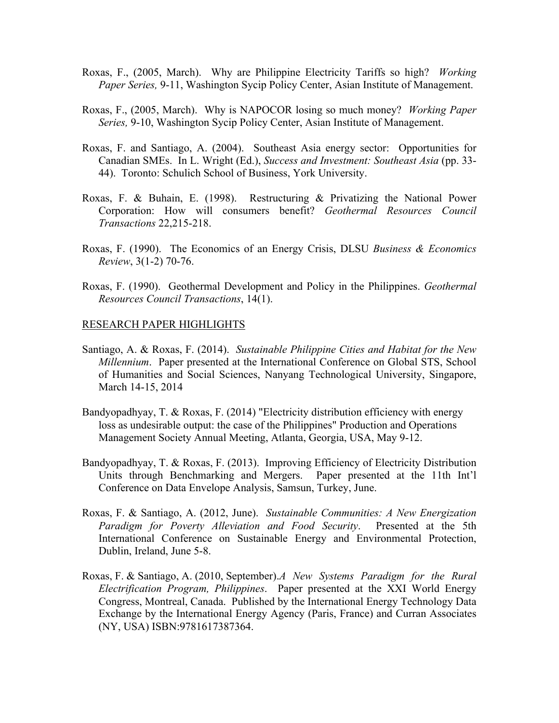- Roxas, F., (2005, March). Why are Philippine Electricity Tariffs so high? *Working Paper Series,* 9-11, Washington Sycip Policy Center, Asian Institute of Management.
- Roxas, F., (2005, March). Why is NAPOCOR losing so much money? *Working Paper Series,* 9-10, Washington Sycip Policy Center, Asian Institute of Management.
- Roxas, F. and Santiago, A. (2004). Southeast Asia energy sector: Opportunities for Canadian SMEs. In L. Wright (Ed.), *Success and Investment: Southeast Asia* (pp. 33- 44). Toronto: Schulich School of Business, York University.
- Roxas, F. & Buhain, E. (1998). Restructuring & Privatizing the National Power Corporation: How will consumers benefit? *Geothermal Resources Council Transactions* 22,215-218.
- Roxas, F. (1990). The Economics of an Energy Crisis, DLSU *Business & Economics Review*, 3(1-2) 70-76.
- Roxas, F. (1990). Geothermal Development and Policy in the Philippines. *Geothermal Resources Council Transactions*, 14(1).

#### RESEARCH PAPER HIGHLIGHTS

- Santiago, A. & Roxas, F. (2014). *Sustainable Philippine Cities and Habitat for the New Millennium*. Paper presented at the International Conference on Global STS, School of Humanities and Social Sciences, Nanyang Technological University, Singapore, March 14-15, 2014
- Bandyopadhyay, T. & Roxas, F. (2014) "Electricity distribution efficiency with energy loss as undesirable output: the case of the Philippines" Production and Operations Management Society Annual Meeting, Atlanta, Georgia, USA, May 9-12.
- Bandyopadhyay, T. & Roxas, F. (2013). Improving Efficiency of Electricity Distribution Units through Benchmarking and Mergers. Paper presented at the 11th Int'l Conference on Data Envelope Analysis, Samsun, Turkey, June.
- Roxas, F. & Santiago, A. (2012, June). *Sustainable Communities: A New Energization Paradigm for Poverty Alleviation and Food Security*. Presented at the 5th International Conference on Sustainable Energy and Environmental Protection, Dublin, Ireland, June 5-8.
- Roxas, F. & Santiago, A. (2010, September).*A New Systems Paradigm for the Rural Electrification Program, Philippines*. Paper presented at the XXI World Energy Congress, Montreal, Canada. Published by the International Energy Technology Data Exchange by the International Energy Agency (Paris, France) and Curran Associates (NY, USA) ISBN:9781617387364.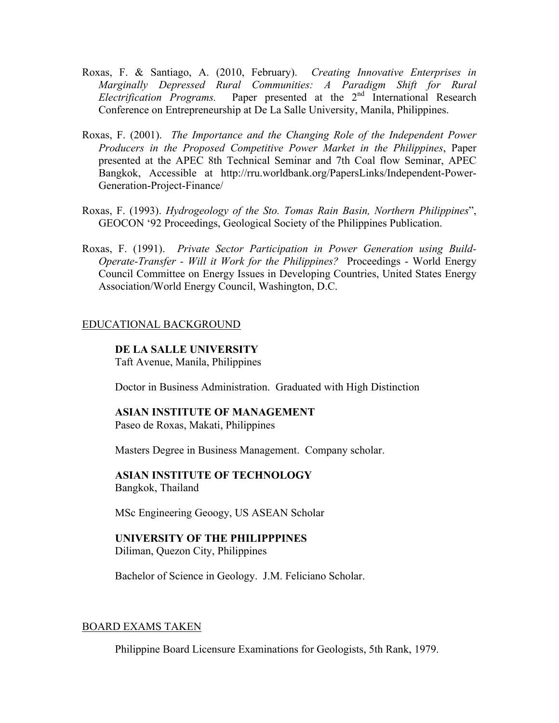- Roxas, F. & Santiago, A. (2010, February). *Creating Innovative Enterprises in Marginally Depressed Rural Communities: A Paradigm Shift for Rural Electrification Programs.* Paper presented at the 2<sup>nd</sup> International Research Conference on Entrepreneurship at De La Salle University, Manila, Philippines.
- Roxas, F. (2001). *The Importance and the Changing Role of the Independent Power Producers in the Proposed Competitive Power Market in the Philippines*, Paper presented at the APEC 8th Technical Seminar and 7th Coal flow Seminar, APEC Bangkok, Accessible at http://rru.worldbank.org/PapersLinks/Independent-Power-Generation-Project-Finance/
- Roxas, F. (1993). *Hydrogeology of the Sto. Tomas Rain Basin, Northern Philippines*", GEOCON '92 Proceedings, Geological Society of the Philippines Publication.
- Roxas, F. (1991). *Private Sector Participation in Power Generation using Build-Operate-Transfer - Will it Work for the Philippines?* Proceedings - World Energy Council Committee on Energy Issues in Developing Countries, United States Energy Association/World Energy Council, Washington, D.C.

### EDUCATIONAL BACKGROUND

### **DE LA SALLE UNIVERSITY**

Taft Avenue, Manila, Philippines

Doctor in Business Administration. Graduated with High Distinction

### **ASIAN INSTITUTE OF MANAGEMENT** Paseo de Roxas, Makati, Philippines

Masters Degree in Business Management. Company scholar.

#### **ASIAN INSTITUTE OF TECHNOLOGY** Bangkok, Thailand

MSc Engineering Geoogy, US ASEAN Scholar

# **UNIVERSITY OF THE PHILIPPPINES**

Diliman, Quezon City, Philippines

Bachelor of Science in Geology. J.M. Feliciano Scholar.

#### BOARD EXAMS TAKEN

Philippine Board Licensure Examinations for Geologists, 5th Rank, 1979.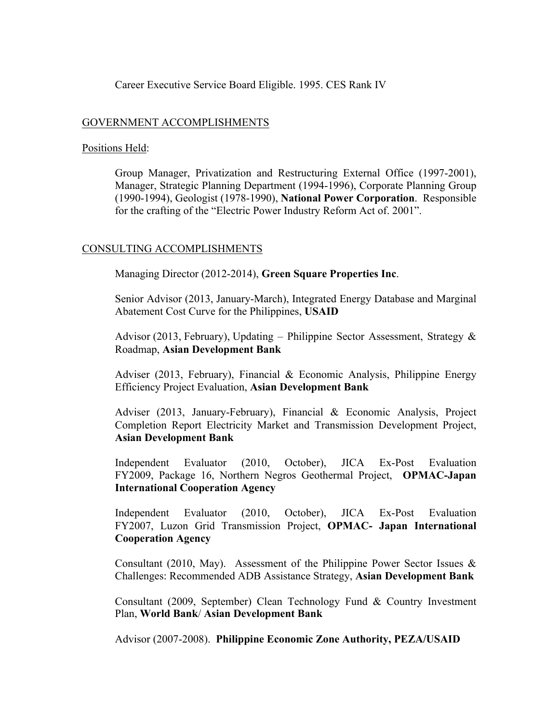### Career Executive Service Board Eligible. 1995. CES Rank IV

### GOVERNMENT ACCOMPLISHMENTS

### Positions Held:

Group Manager, Privatization and Restructuring External Office (1997-2001), Manager, Strategic Planning Department (1994-1996), Corporate Planning Group (1990-1994), Geologist (1978-1990), **National Power Corporation**. Responsible for the crafting of the "Electric Power Industry Reform Act of. 2001".

# CONSULTING ACCOMPLISHMENTS

Managing Director (2012-2014), **Green Square Properties Inc**.

Senior Advisor (2013, January-March), Integrated Energy Database and Marginal Abatement Cost Curve for the Philippines, **USAID**

Advisor (2013, February), Updating – Philippine Sector Assessment, Strategy & Roadmap, **Asian Development Bank**

Adviser (2013, February), Financial & Economic Analysis, Philippine Energy Efficiency Project Evaluation, **Asian Development Bank**

Adviser (2013, January-February), Financial & Economic Analysis, Project Completion Report Electricity Market and Transmission Development Project, **Asian Development Bank**

Independent Evaluator (2010, October), JICA Ex-Post Evaluation FY2009, Package 16, Northern Negros Geothermal Project, **OPMAC-Japan International Cooperation Agency**

Independent Evaluator (2010, October), JICA Ex-Post Evaluation FY2007, Luzon Grid Transmission Project, **OPMAC- Japan International Cooperation Agency**

Consultant (2010, May). Assessment of the Philippine Power Sector Issues  $\&$ Challenges: Recommended ADB Assistance Strategy, **Asian Development Bank**

Consultant (2009, September) Clean Technology Fund & Country Investment Plan, **World Bank**/ **Asian Development Bank**

Advisor (2007-2008). **Philippine Economic Zone Authority, PEZA/USAID**